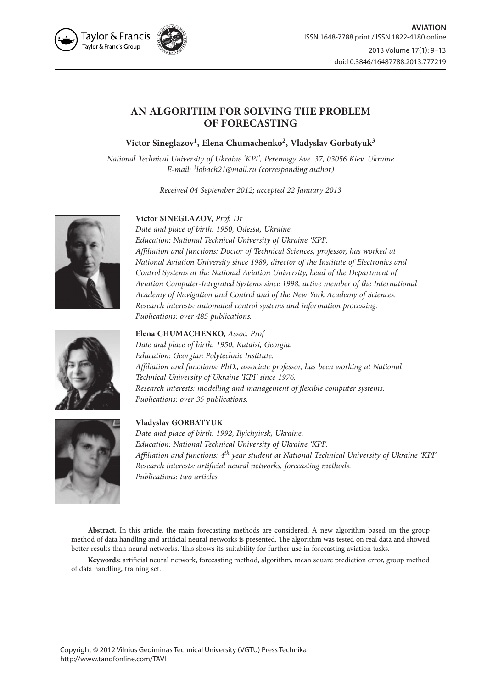

# **AN ALGORITHM FOR SOLVING THE PROBLEM OF FORECASTING**

Victor Sineglazov<sup>1</sup>, Elena Chumachenko<sup>2</sup>, Vladyslav Gorbatyuk<sup>3</sup>

*National Technical University of Ukraine 'KPI', Peremogy Ave. 37, 03056 Kiev, Ukraine E-mail: 3lobach21@mail.ru (corresponding author)*

*Received 04 September 2012; accepted 22 January 2013*

## **Victor SINEGLAZOV,** *Prof, Dr*

*Date and place of birth: 1950, Odessa, Ukraine. Education: National Technical University of Ukraine 'KPI'. Affiliation and functions: Doctor of Technical Sciences, professor, has worked at National Aviation University since 1989, director of the Institute of Electronics and Control Systems at the National Aviation University, head of the Department of Aviation Computer-Integrated Systems since 1998, active member of the International Academy of Navigation and Control and of the New York Academy of Sciences. Research interests: automated control systems and information processing. Publications: over 485 publications.*

## **Elena CHUMACHENKO,** *Assoc. Prof*

*Date and place of birth: 1950, Kutaisi, Georgia. Education: Georgian Polytechnic Institute. Affiliation and functions: PhD., associate professor, has been working at National Technical University of Ukraine 'KPI' since 1976. Research interests: modelling and management of flexible computer systems. Publications: over 35 publications.*



## **Vladyslav GORBATYUK**

*Date and place of birth: 1992, Ilyichyivsk, Ukraine. Education: National Technical University of Ukraine 'KPI'. Affiliation and functions: 4th year student at National Technical University of Ukraine 'KPI'. Research interests: artificial neural networks, forecasting methods. Publications: two articles.*

**Abstract.** In this article, the main forecasting methods are considered. A new algorithm based on the group method of data handling and artificial neural networks is presented. The algorithm was tested on real data and showed better results than neural networks. This shows its suitability for further use in forecasting aviation tasks.

**Keywords:** artificial neural network, forecasting method, algorithm, mean square prediction error, group method of data handling, training set.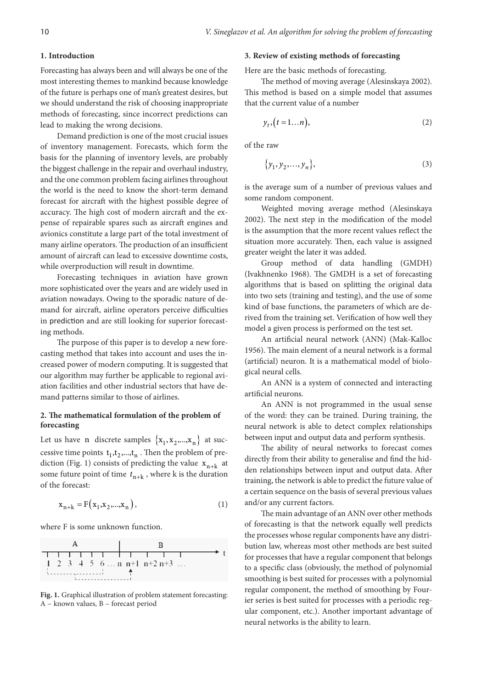## **1. Introduction**

Forecasting has always been and will always be one of the most interesting themes to mankind because knowledge of the future is perhaps one of man's greatest desires, but we should understand the risk of choosing inappropriate methods of forecasting, since incorrect predictions can lead to making the wrong decisions.

Demand prediction is one of the most crucial issues of inventory management. Forecasts, which form the basis for the planning of inventory levels, are probably the biggest challenge in the repair and overhaul industry, and the one common problem facing airlines throughout the world is the need to know the short-term demand forecast for aircraft with the highest possible degree of accuracy. The high cost of modern aircraft and the expense of repairable spares such as aircraft engines and avionics constitute a large part of the total investment of many airline operators. The production of an insufficient amount of aircraft can lead to excessive downtime costs, while overproduction will result in downtime.

Forecasting techniques in aviation have grown more sophisticated over the years and are widely used in aviation nowadays. Owing to the sporadic nature of demand for aircraft, airline operators perceive difficulties in prediction and are still looking for superior forecasting methods.

The purpose of this paper is to develop a new forecasting method that takes into account and uses the increased power of modern computing. It is suggested that our algorithm may further be applicable to regional aviation facilities and other industrial sectors that have demand patterns similar to those of airlines.

## **2. The mathematical formulation of the problem of forecasting**

Let us have n discrete samples  $\{x_1, x_2, ..., x_n\}$  at successive time points  $t_1, t_2, ..., t_n$ . Then the problem of prediction (Fig. 1) consists of predicting the value  $x_{n+k}$  at some future point of time  $t_{n+k}$ , where k is the duration of the forecast:

$$
x_{n+k} = F(x_1, x_2, ..., x_n),
$$
 (1)

where F is some unknown function.



**Fig. 1.** Graphical illustration of problem statement forecasting: A – known values, B – forecast period

### **3. Review of existing methods of forecasting**

Here are the basic methods of forecasting.

The method of moving average (Alesinskaya 2002). This method is based on a simple model that assumes that the current value of a number

$$
y_t, (t = 1...n), \tag{2}
$$

of the raw

$$
\{y_1, y_2, \ldots, y_n\},\tag{3}
$$

is the average sum of a number of previous values and some random component.

Weighted moving average method (Alesinskaya 2002). The next step in the modification of the model is the assumption that the more recent values reflect the situation more accurately. Then, each value is assigned greater weight the later it was added.

Group method of data handling (GMDH) (Ivakhnenko 1968). The GMDH is a set of forecasting algorithms that is based on splitting the original data into two sets (training and testing), and the use of some kind of base functions, the parameters of which are derived from the training set. Verification of how well they model a given process is performed on the test set.

An artificial neural network (ANN) (Mak-Kalloc 1956). The main element of a neural network is a formal (artificial) neuron. It is a mathematical model of biological neural cells.

An ANN is a system of connected and interacting artificial neurons.

An ANN is not programmed in the usual sense of the word: they can be trained. During training, the neural network is able to detect complex relationships between input and output data and perform synthesis.

The ability of neural networks to forecast comes directly from their ability to generalise and find the hidden relationships between input and output data. After training, the network is able to predict the future value of a certain sequence on the basis of several previous values and/or any current factors.

The main advantage of an ANN over other methods of forecasting is that the network equally well predicts the processes whose regular components have any distribution law, whereas most other methods are best suited for processes that have a regular component that belongs to a specific class (obviously, the method of polynomial smoothing is best suited for processes with a polynomial regular component, the method of smoothing by Fourier series is best suited for processes with a periodic regular component, etc.). Another important advantage of neural networks is the ability to learn.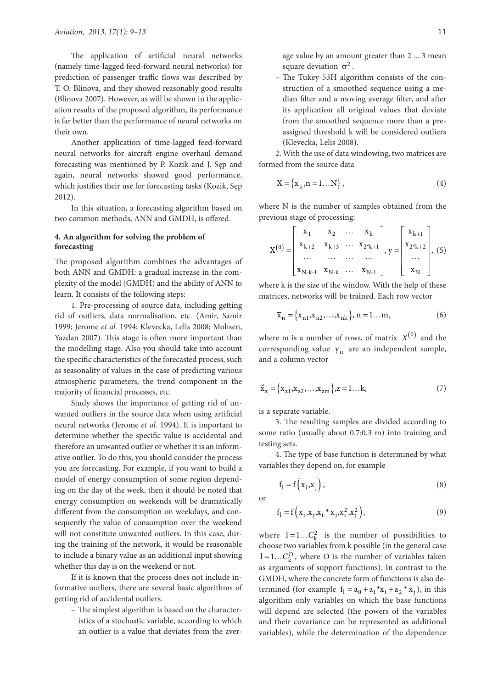The application of artificial neural networks (namely time-lagged feed-forward neural networks) for prediction of passenger traffic flows was described by T. O. Blinova, and they showed reasonably good results (Blinova 2007). However, as will be shown in the application results of the proposed algorithm, its performance is far better than the performance of neural networks on their own.

Another application of time-lagged feed-forward neural networks for aircraft engine overhaul demand forecasting was mentioned by P. Kozik and J. Sęp and again, neural networks showed good performance, which justifies their use for forecasting tasks (Kozik, Sęp 2012).

In this situation, a forecasting algorithm based on two common methods, ANN and GMDH, is offered.

## **4. An algorithm for solving the problem of forecasting**

The proposed algorithm combines the advantages of both ANN and GMDH: a gradual increase in the complexity of the model (GMDH) and the ability of ANN to learn. It consists of the following steps:

1. Pre-processing of source data, including getting rid of outliers, data normalisation, etc. (Amir, Samir 1999; Jerome *et al.* 1994; Klevecka, Lelis 2008; Mohsen, Yazdan 2007). This stage is often more important than the modelling stage. Also you should take into account the specific characteristics of the forecasted process, such as seasonality of values in the case of predicting various atmospheric parameters, the trend component in the majority of financial processes, etc.

Study shows the importance of getting rid of unwanted outliers in the source data when using artificial neural networks (Jerome *et al.* 1994). It is important to determine whether the specific value is accidental and therefore an unwanted outlier or whether it is an informative outlier. To do this, you should consider the process you are forecasting. For example, if you want to build a model of energy consumption of some region depending on the day of the week, then it should be noted that energy consumption on weekends will be dramatically different from the consumption on weekdays, and consequently the value of consumption over the weekend will not constitute unwanted outliers. In this case, during the training of the network, it would be reasonable to include a binary value as an additional input showing whether this day is on the weekend or not.

If it is known that the process does not include informative outliers, there are several basic algorithms of getting rid of accidental outliers.

– The simplest algorithm is based on the characteristics of a stochastic variable, according to which an outlier is a value that deviates from the average value by an amount greater than 2 ... 3 mean square deviation  $\sigma^2$ .

– The Tukey 53H algorithm consists of the construction of a smoothed sequence using a median filter and a moving average filter, and after its application all original values that deviate from the smoothed sequence more than a preassigned threshold k will be considered outliers (Klevecka, Lelis 2008).

2. With the use of data windowing, two matrices are formed from the source data

$$
X = \{x_n, n = 1...N\},\tag{4}
$$

where N is the number of samples obtained from the previous stage of processing:

$$
X^{(0)} = \begin{bmatrix} x_1 & x_2 & \dots & x_k \\ x_{k+2} & x_{k+3} & \dots & x_{2^*k+1} \\ \dots & \dots & \dots & \dots \\ x_{N-k-1} & x_{N-k} & \dots & x_{N-1} \end{bmatrix}, y = \begin{bmatrix} x_{k+1} \\ x_{2^*k+2} \\ \dots \\ x_N \end{bmatrix}, (5)
$$

where k is the size of the window. With the help of these matrices, networks will be trained. Each row vector

$$
\overline{x}_{n} = \{x_{n1}, x_{n2}, \dots, x_{nk}\}, n = 1...m,
$$
 (6)

where m is a number of rows, of matrix  $X^{(0)}$  and the corresponding value  $y_n$  are an independent sample, and a column vector

$$
\vec{x}_z = \{x_{z1}, x_{z2}, \dots, x_{zm}\}, z = 1 \dots k,
$$
\n(7)

is a separate variable.

3. The resulting samples are divided according to some ratio (usually about 0.7:0.3 m) into training and testing sets.

4. The type of base function is determined by what variables they depend on, for example

$$
f_1 = f\left(x_i, x_j\right),\tag{8}
$$

or

$$
f_{l} = f(x_{i}, x_{j}, x_{i} * x_{j}, x_{i}^{2}, x_{j}^{2}),
$$
\n(9)

where  $l = 1...C_k^2$  is the number of possibilities to choose two variables from k possible (in the general case  $l = 1...C_k^O$ , where O is the number of variables taken as arguments of support functions). In contrast to the GMDH, where the concrete form of functions is also determined (for example  $f_1 = a_0 + a_1 x_i + a_2 x_i$ ), in this algorithm only variables on which the base functions will depend are selected (the powers of the variables and their covariance can be represented as additional variables), while the determination of the dependence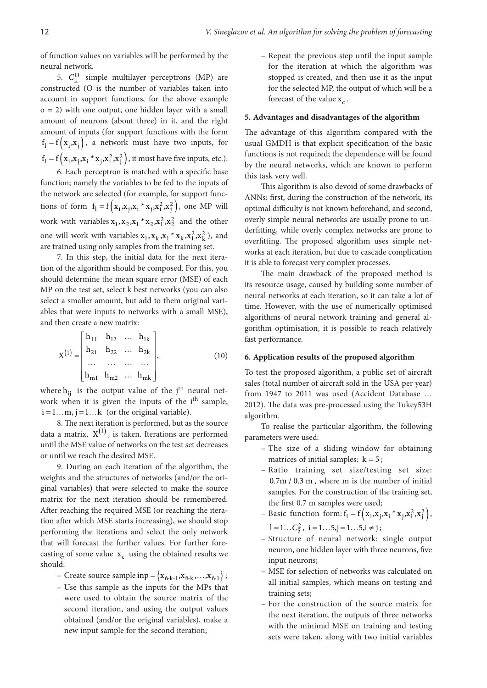of function values on variables will be performed by the neural network.

5.  $C_k^O$  simple multilayer perceptrons (MP) are constructed (O is the number of variables taken into account in support functions, for the above example  $o = 2$ ) with one output, one hidden layer with a small amount of neurons (about three) in it, and the right amount of inputs (for support functions with the form  $f_1 = f(x_i, x_i)$ , a network must have two inputs, for  $f_1 = f\left(x_i, x_j, x_i \times x_j, x_i^2, x_j^2\right)$ , it must have five inputs, etc.).

6. Each perceptron is matched with a specific base function; namely the variables to be fed to the inputs of the network are selected (for example, for support functions of form  $f_1 = f(x_i, x_j, x_i \cdot x_j, x_i^2, x_j^2)$ , one MP will work with variables  $x_1, x_2, x_1 * x_2, x_1^2, x_2^2$  and the other one will work with variables  $x_1, x_k, x_1 \cdot x_k, x_1^2, x_k^2$ ), and are trained using only samples from the training set.

7. In this step, the initial data for the next iteration of the algorithm should be composed. For this, you should determine the mean square error (MSE) of each MP on the test set, select k best networks (you can also select a smaller amount, but add to them original variables that were inputs to networks with a small MSE), and then create a new matrix:

$$
X^{(1)} = \begin{bmatrix} h_{11} & h_{12} & \dots & h_{1k} \\ h_{21} & h_{22} & \dots & h_{2k} \\ \dots & \dots & \dots & \dots \\ h_{m1} & h_{m2} & \dots & h_{mk} \end{bmatrix},
$$
(10)

where  $h_{ii}$  is the output value of the j<sup>th</sup> neural network when it is given the inputs of the i<sup>th</sup> sample,  $i = 1...m$ ,  $j = 1...k$  (or the original variable).

8. The next iteration is performed, but as the source data a matrix,  $X^{(1)}$ , is taken. Iterations are performed until the MSE value of networks on the test set decreases or until we reach the desired MSE.

9. During an each iteration of the algorithm, the weights and the structures of networks (and/or the original variables) that were selected to make the source matrix for the next iteration should be remembered. After reaching the required MSE (or reaching the iteration after which MSE starts increasing), we should stop performing the iterations and select the only network that will forecast the further values. For further forecasting of some value  $x_c$  using the obtained results we should:

- Create source sample inp =  $\{x_{\tilde{n}+k-1}, x_{\tilde{n}+k},...,x_{\tilde{n}+1}\}\;;$
- Use this sample as the inputs for the MPs that were used to obtain the source matrix of the second iteration, and using the output values obtained (and/or the original variables), make a new input sample for the second iteration;

– Repeat the previous step until the input sample for the iteration at which the algorithm was stopped is created, and then use it as the input for the selected MP, the output of which will be a forecast of the value  $x_c$ .

## **5. Advantages and disadvantages of the algorithm**

The advantage of this algorithm compared with the usual GMDH is that explicit specification of the basic functions is not required; the dependence will be found by the neural networks, which are known to perform this task very well.

This algorithm is also devoid of some drawbacks of ANNs: first, during the construction of the network, its optimal difficulty is not known beforehand, and second, overly simple neural networks are usually prone to underfitting, while overly complex networks are prone to overfitting. The proposed algorithm uses simple networks at each iteration, but due to cascade complication it is able to forecast very complex processes.

The main drawback of the proposed method is its resource usage, caused by building some number of neural networks at each iteration, so it can take a lot of time. However, with the use of numerically optimised algorithms of neural network training and general algorithm optimisation, it is possible to reach relatively fast performance.

## **6. Application results of the proposed algorithm**

To test the proposed algorithm, a public set of aircraft sales (total number of aircraft sold in the USA per year) from 1947 to 2011 was used (Accident Database … 2012). The data was pre-processed using the Tukey53H algorithm.

To realise the particular algorithm, the following parameters were used:

- The size of a sliding window for obtaining matrices of initial samples:  $k = 5$ ;
- Ratio training set size/testing set size: 0.7m / 0.3 m , where m is the number of initial samples. For the construction of the training set, the first 0.7 m samples were used;
- Basic function form:  $f_1 = f(x_i, x_j, x_i \cdot x_j, x_i^2, x_j^2)$ ,  $1 = 1...C_5^2$ ,  $i = 1...5$ , $j = 1...5$ , $i \neq j$ ;
- Structure of neural network: single output neuron, one hidden layer with three neurons, five input neurons;
- MSE for selection of networks was calculated on all initial samples, which means on testing and training sets;
- For the construction of the source matrix for the next iteration, the outputs of three networks with the minimal MSE on training and testing sets were taken, along with two initial variables